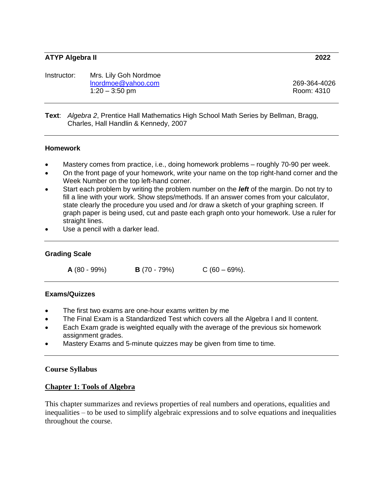#### **ATYP Algebra II 2022**

| Instructor: | Mrs. Lily Goh Nordmoe |              |
|-------------|-----------------------|--------------|
|             | Inordmoe@yahoo.com    | 269-364-4026 |
|             | $1:20 - 3:50$ pm      | Room: 4310   |

#### **Text**: *Algebra 2*, Prentice Hall Mathematics High School Math Series by Bellman, Bragg, Charles, Hall Handlin & Kennedy, 2007

#### **Homework**

- Mastery comes from practice, i.e., doing homework problems roughly 70-90 per week.
- On the front page of your homework, write your name on the top right-hand corner and the Week Number on the top left-hand corner.
- Start each problem by writing the problem number on the *left* of the margin. Do not try to fill a line with your work. Show steps/methods. If an answer comes from your calculator, state clearly the procedure you used and /or draw a sketch of your graphing screen. If graph paper is being used, cut and paste each graph onto your homework. Use a ruler for straight lines.
- Use a pencil with a darker lead.

#### **Grading Scale**

**A** (80 - 99%) **B** (70 - 79%) C (60 – 69%).

#### **Exams/Quizzes**

- The first two exams are one-hour exams written by me
- The Final Exam is a Standardized Test which covers all the Algebra I and II content.
- Each Exam grade is weighted equally with the average of the previous six homework assignment grades.
- Mastery Exams and 5-minute quizzes may be given from time to time.

#### **Course Syllabus**

### **Chapter 1: Tools of Algebra**

This chapter summarizes and reviews properties of real numbers and operations, equalities and inequalities – to be used to simplify algebraic expressions and to solve equations and inequalities throughout the course.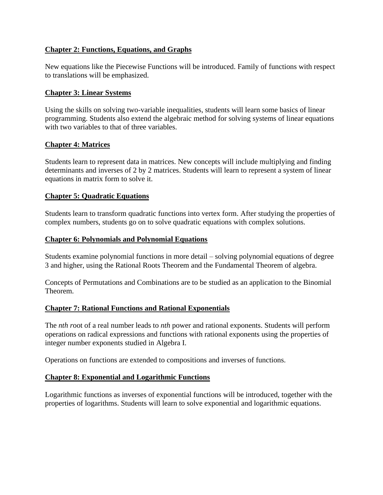# **Chapter 2: Functions, Equations, and Graphs**

New equations like the Piecewise Functions will be introduced. Family of functions with respect to translations will be emphasized.

## **Chapter 3: Linear Systems**

Using the skills on solving two-variable inequalities, students will learn some basics of linear programming. Students also extend the algebraic method for solving systems of linear equations with two variables to that of three variables.

## **Chapter 4: Matrices**

Students learn to represent data in matrices. New concepts will include multiplying and finding determinants and inverses of 2 by 2 matrices. Students will learn to represent a system of linear equations in matrix form to solve it.

## **Chapter 5: Quadratic Equations**

Students learn to transform quadratic functions into vertex form. After studying the properties of complex numbers, students go on to solve quadratic equations with complex solutions.

## **Chapter 6: Polynomials and Polynomial Equations**

Students examine polynomial functions in more detail – solving polynomial equations of degree 3 and higher, using the Rational Roots Theorem and the Fundamental Theorem of algebra.

Concepts of Permutations and Combinations are to be studied as an application to the Binomial Theorem.

### **Chapter 7: Rational Functions and Rational Exponentials**

The *nth r*oot of a real number leads to *nth* power and rational exponents. Students will perform operations on radical expressions and functions with rational exponents using the properties of integer number exponents studied in Algebra I.

Operations on functions are extended to compositions and inverses of functions.

### **Chapter 8: Exponential and Logarithmic Functions**

Logarithmic functions as inverses of exponential functions will be introduced, together with the properties of logarithms. Students will learn to solve exponential and logarithmic equations.